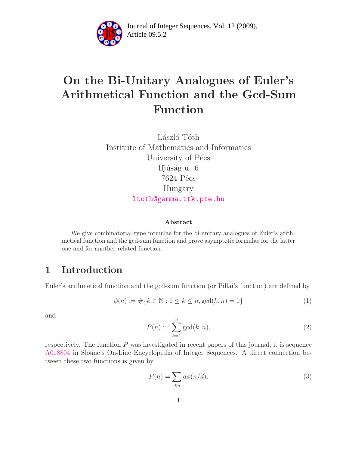

Article 09.5.2 **<sup>2</sup>** Journal of Integer Sequences, Vol. 12 (2009),

# On the Bi-Unitary Analogues of Euler's Arithmetical Function and the Gcd-Sum Function

László Tóth Institute of Mathematics and Informatics University of Pécs Ifjúság u. 6 7624 Pécs Hungary [ltoth@gamma.ttk.pte.hu](mailto:ltoth@ttk.pte.hu)

#### <span id="page-0-0"></span>Abstract

We give combinatorial-type formulae for the bi-unitary analogues of Euler's arithmetical function and the gcd-sum function and prove asymptotic formulae for the latter one and for another related function.

## 1 Introduction

Euler's arithmetical function and the gcd-sum function (or Pillai's function) are defined by

$$
\phi(n) := \# \{ k \in \mathbb{N} : 1 \le k \le n, \gcd(k, n) = 1 \}
$$
\n(1)

<span id="page-0-1"></span>and

$$
P(n) := \sum_{k=1}^{n} \gcd(k, n),\tag{2}
$$

respectively. The function  $P$  was investigated in recent papers of this journal; it is sequence [A018804](http://www.research.att.com/cgi-bin/access.cgi/as/~njas/sequences/eisA.cgi?Anum=A018804) in Sloane's On-Line Encyclopedia of Integer Sequences. A direct connection between these two functions is given by

$$
P(n) = \sum_{d|n} d\phi(n/d). \tag{3}
$$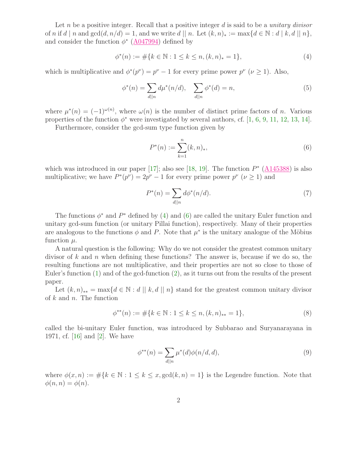Let n be a positive integer. Recall that a positive integer  $d$  is said to be a *unitary divisor* of n if d | n and  $gcd(d, n/d) = 1$ , and we write d || n. Let  $(k, n)_* := max\{d \in \mathbb{N} : d \mid k, d \mid n\}$ , and consider the function  $\phi^*$  ( $\underline{A047994}$ ) defined by

<span id="page-1-0"></span>
$$
\phi^*(n) := \# \{ k \in \mathbb{N} : 1 \le k \le n, (k, n)_* = 1 \},\tag{4}
$$

which is multiplicative and  $\phi^*(p^{\nu}) = p^{\nu} - 1$  for every prime power  $p^{\nu}$  ( $\nu \ge 1$ ). Also,

$$
\phi^*(n) = \sum_{d||n} d\mu^*(n/d), \quad \sum_{d||n} \phi^*(d) = n,
$$
\n(5)

where  $\mu^*(n) = (-1)^{\omega(n)}$ , where  $\omega(n)$  is the number of distinct prime factors of n. Various properties of the function  $\phi^*$  were investigated by several authors, cf. [\[1,](#page-8-0) [6,](#page-8-1) [9,](#page-8-2) [11,](#page-9-0) [12,](#page-9-1) [13,](#page-9-2) [14\]](#page-9-3).

Furthermore, consider the gcd-sum type function given by

<span id="page-1-3"></span><span id="page-1-1"></span>
$$
P^*(n) := \sum_{k=1}^n (k, n)_*,\tag{6}
$$

which was introduced in our paper [\[17\]](#page-9-4); also see [\[18,](#page-9-5) [19\]](#page-9-6). The function  $P^*$  ( $\underline{A145388}$ ) is also multiplicative; we have  $P^*(p^{\nu}) = 2p^{\nu} - 1$  for every prime power  $p^{\nu}$  ( $\nu \ge 1$ ) and

$$
P^*(n) = \sum_{d||n} d\phi^*(n/d). \tag{7}
$$

The functions  $\phi^*$  and  $P^*$  defined by [\(4\)](#page-1-0) and [\(6\)](#page-1-1) are called the unitary Euler function and unitary gcd-sum function (or unitary Pillai function), respectively. Many of their properties are analogous to the functions  $\phi$  and P. Note that  $\mu^*$  is the unitary analogue of the Möbius function  $\mu$ .

A natural question is the following: Why do we not consider the greatest common unitary divisor of k and n when defining these functions? The answer is, because if we do so, the resulting functions are not multiplicative, and their properties are not so close to those of Euler's function [\(1\)](#page-0-0) and of the gcd-function [\(2\)](#page-0-1), as it turns out from the results of the present paper.

<span id="page-1-2"></span>Let  $(k, n)_{**} = \max\{d \in \mathbb{N} : d \mid k, d \mid n\}$  stand for the greatest common unitary divisor of  $k$  and  $n$ . The function

$$
\phi^{**}(n) := \# \{ k \in \mathbb{N} : 1 \le k \le n, (k, n)_{**} = 1 \},\tag{8}
$$

called the bi-unitary Euler function, was introduced by Subbarao and Suryanarayana in 1971, cf. [\[16\]](#page-9-7) and [\[2\]](#page-8-3). We have

$$
\phi^{**}(n) = \sum_{d||n} \mu^*(d)\phi(n/d, d),\tag{9}
$$

where  $\phi(x, n) := \#\{k \in \mathbb{N} : 1 \leq k \leq x, \gcd(k, n) = 1\}$  is the Legendre function. Note that  $\phi(n,n) = \phi(n).$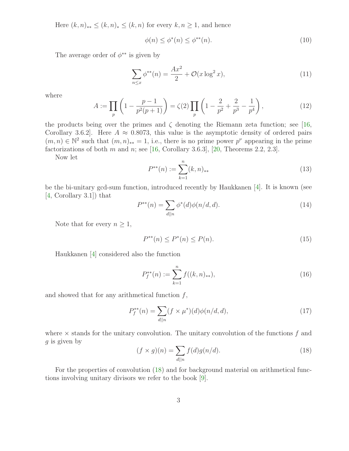Here  $(k, n)_{**} \leq (k, n)_* \leq (k, n)$  for every  $k, n \geq 1$ , and hence

$$
\phi(n) \le \phi^*(n) \le \phi^{**}(n). \tag{10}
$$

The average order of  $\phi^{**}$  is given by

$$
\sum_{n \le x} \phi^{**}(n) = \frac{Ax^2}{2} + \mathcal{O}(x \log^2 x),\tag{11}
$$

where

$$
A := \prod_{p} \left( 1 - \frac{p-1}{p^2(p+1)} \right) = \zeta(2) \prod_{p} \left( 1 - \frac{2}{p^2} + \frac{2}{p^3} - \frac{1}{p^4} \right),\tag{12}
$$

the products being over the primes and  $\zeta$  denoting the Riemann zeta function; see [\[16,](#page-9-7) Corollary 3.6.2. Here  $A \approx 0.8073$ , this value is the asymptotic density of ordered pairs  $(m, n) \in \mathbb{N}^2$  such that  $(m, n)_{**} = 1$ , i.e., there is no prime power  $p^{\nu}$  appearing in the prime factorizations of both  $m$  and  $n$ ; see [\[16,](#page-9-7) Corollary 3.6.3], [\[20,](#page-9-8) Theorems 2.2, 2.3].

Now let

$$
P^{**}(n) := \sum_{k=1}^{n} (k, n)_{**} \tag{13}
$$

<span id="page-2-3"></span>be the bi-unitary gcd-sum function, introduced recently by Haukkanen [\[4\]](#page-8-4). It is known (see [\[4,](#page-8-4) Corollary 3.1]) that

$$
P^{**}(n) = \sum_{d||n} \phi^*(d)\phi(n/d, d). \tag{14}
$$

Note that for every  $n \geq 1$ ,

<span id="page-2-1"></span>
$$
P^{**}(n) \le P^*(n) \le P(n). \tag{15}
$$

Haukkanen [\[4\]](#page-8-4) considered also the function

<span id="page-2-2"></span>
$$
P_f^{**}(n) := \sum_{k=1}^n f((k, n)_{**}),
$$
\n(16)

and showed that for any arithmetical function  $f$ ,

$$
P_f^{**}(n) = \sum_{d||n} (f \times \mu^*)(d)\phi(n/d, d), \tag{17}
$$

<span id="page-2-0"></span>where  $\times$  stands for the unitary convolution. The unitary convolution of the functions f and  $q$  is given by

$$
(f \times g)(n) = \sum_{d||n} f(d)g(n/d).
$$
 (18)

For the properties of convolution [\(18\)](#page-2-0) and for background material on arithmetical functions involving unitary divisors we refer to the book [\[9\]](#page-8-2).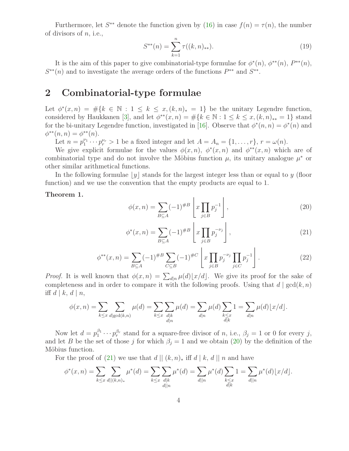Furthermore, let  $S^{**}$  denote the function given by [\(16\)](#page-2-1) in case  $f(n) = \tau(n)$ , the number of divisors of  $n$ , i.e.,

$$
S^{**}(n) = \sum_{k=1}^{n} \tau((k, n)_{**}).
$$
\n(19)

It is the aim of this paper to give combinatorial-type formulae for  $\phi^*(n)$ ,  $\phi^{**}(n)$ ,  $P^{**}(n)$ ,  $S^{**}(n)$  and to investigate the average orders of the functions  $P^{**}$  and  $S^{**}$ .

### 2 Combinatorial-type formulae

Let  $\phi^*(x,n) = \#\{k \in \mathbb{N} : 1 \leq k \leq x, (k,n)_* = 1\}$  be the unitary Legendre function, considered by Haukkanen [\[3\]](#page-8-5), and let  $\phi^{**}(x, n) = \#\{k \in \mathbb{N} : 1 \leq k \leq x, (k, n)_{**} = 1\}$  stand for the bi-unitary Legendre function, investigated in [\[16\]](#page-9-7). Observe that  $\phi^*(n, n) = \phi^*(n)$  and  $\phi^{**}(n,n) = \phi^{**}(n).$ 

Let  $n = p_1^{\nu_1}$  $t_1^{\nu_1} \cdots p_r^{\nu_r} > 1$  be a fixed integer and let  $A = A_n = \{1, \ldots, r\}$ ,  $r = \omega(n)$ .

We give explicit formulae for the values  $\phi(x,n)$ ,  $\phi^*(x,n)$  and  $\phi^{**}(x,n)$  which are of combinatorial type and do not involve the Möbius function  $\mu$ , its unitary analogue  $\mu^*$  or other similar arithmetical functions.

In the following formulae  $|y|$  stands for the largest integer less than or equal to y (floor function) and we use the convention that the empty products are equal to 1.

<span id="page-3-2"></span><span id="page-3-1"></span><span id="page-3-0"></span>Theorem 1.

$$
\phi(x,n) = \sum_{B \subseteq A} (-1)^{\#B} \left[ x \prod_{j \in B} p_j^{-1} \right],\tag{20}
$$

$$
\phi^*(x, n) = \sum_{B \subseteq A} (-1)^{\#B} \left[ x \prod_{j \in B} p_j^{-\nu_j} \right],\tag{21}
$$

$$
\phi^{**}(x,n) = \sum_{B \subseteq A} (-1)^{\#B} \sum_{C \subseteq B} (-1)^{\#C} \left[ x \prod_{j \in B} p_j^{-\nu_j} \prod_{j \in C} p_j^{-1} \right]. \tag{22}
$$

*Proof.* It is well known that  $\phi(x, n) = \sum_{d|n} \mu(d) \lfloor x/d \rfloor$ . We give its proof for the sake of completeness and in order to compare it with the following proofs. Using that  $d | gcd(k, n)$ iff  $d \mid k, d \mid n$ ,

$$
\phi(x,n) = \sum_{k \le x} \sum_{d | \gcd(k,n)} \mu(d) = \sum_{k \le x} \sum_{\substack{d | k \\ d | n}} \mu(d) = \sum_{d | n} \mu(d) \sum_{\substack{k \le x \\ d | k}} 1 = \sum_{d | n} \mu(d) \lfloor x/d \rfloor.
$$

Now let  $d = p_1^{\beta_1}$  $p_1^{\beta_1} \cdots p_r^{\beta_r}$  stand for a square-free divisor of n, i.e.,  $\beta_j = 1$  or 0 for every j, and let B be the set of those j for which  $\beta_i = 1$  and we obtain [\(20\)](#page-3-0) by the definition of the Möbius function.

For the proof of [\(21\)](#page-3-1) we use that  $d || (k, n)_*$  iff  $d || k, d || n$  and have

$$
\phi^*(x,n) = \sum_{k \le x} \sum_{d \mid |(k,n)_*} \mu^*(d) = \sum_{k \le x} \sum_{\substack{d \mid k \\ d \mid |n}} \mu^*(d) = \sum_{\substack{d \mid |n}} \mu^*(d) \sum_{\substack{k \le x \\ d \mid k}} 1 = \sum_{\substack{d \mid n \\ d \mid k}} \mu^*(d) \lfloor x/d \rfloor.
$$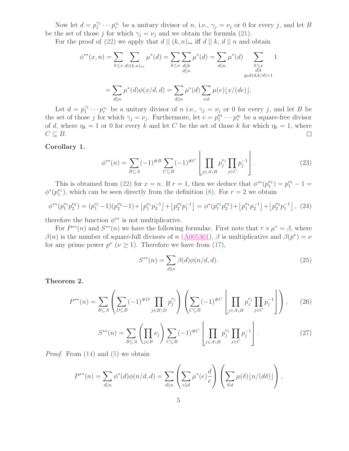Now let  $d = p_1^{\gamma_1}$  $\gamma_1^{\gamma_1} \cdots \gamma_r^{\gamma_r}$  be a unitary divisor of n, i.e.,  $\gamma_j = \nu_j$  or 0 for every j, and let B be the set of those j for which  $\gamma_j = \nu_j$  and we obtain the formula [\(21\)](#page-3-1).

For the proof of [\(22\)](#page-3-2) we apply that  $d || (k, n)_{**}$  iff  $d || k, d || n$  and obtain

$$
\phi^{**}(x,n) = \sum_{k \le x} \sum_{d||(k,n)_{**}} \mu^*(d) = \sum_{k \le x} \sum_{\substack{d||k \ g \text{ odd}}} \mu^*(d) = \sum_{\substack{d||n \ g \text{ odd}}} \mu^*(d) \sum_{\substack{k \le x \ d||k \ g \text{ odd}}}\n 1
$$

$$
= \sum_{\substack{d||n}} \mu^*(d)\phi(x/d,d) = \sum_{\substack{d||n}} \mu^*(d) \sum_{e|d} \mu(e) \lfloor x/(de) \rfloor.
$$

Let  $d = p_1^{\gamma_1}$  $\gamma_1^{\gamma_1} \cdots \gamma_r^{\gamma_r}$  be a unitary divisor of *n* i.e.,  $\gamma_j = \nu_j$  or 0 for every *j*, and let *B* be the set of those j for which  $\gamma_j = \nu_j$ . Furthermore, let  $e = p_1^{\eta_1}$  $j_1^{\eta_1} \cdots p_r^{\eta_r}$  be a square-free divisor of d, where  $\eta_k = 1$  or 0 for every k and let C be the set of those k for which  $\eta_k = 1$ , where  $C \subseteq B$ .  $\Box$ 

#### Corollary 1.

$$
\phi^{**}(n) = \sum_{B \subseteq A} (-1)^{\#B} \sum_{C \subseteq B} (-1)^{\#C} \left[ \prod_{j \in A \setminus B} p_j^{\nu_j} \prod_{j \in C} p_j^{-1} \right]. \tag{23}
$$

This is obtained from [\(22\)](#page-3-2) for  $x = n$ . If  $r = 1$ , then we deduce that  $\phi^{**}(p_1^{\nu_1})$  $p_1^{\nu_1}$  =  $p_1^{\nu_1}$  - 1 =  $\phi^*(p_1^{\nu_1})$  $\binom{\nu_1}{1}$ , which can be seen directly from the definition [\(8\)](#page-1-2). For  $r = 2$  we obtain

$$
\phi^{**}(p_1^{\nu_1}p_2^{\nu_2}) = (p_1^{\nu_1}-1)(p_2^{\nu_2}-1) + [p_1^{\nu_1}p_2^{-1}] + [p_2^{\nu_2}p_1^{-1}] = \phi^*(p_1^{\nu_1}p_2^{\nu_2}) + [p_1^{\nu_1}p_2^{-1}] + [p_2^{\nu_2}p_1^{-1}],
$$
 (24)

therefore the function  $\phi^{**}$  is not multiplicative.

For  $P^{**}(n)$  and  $S^{**}(n)$  we have the following formulae. First note that  $\tau \times \mu^* = \beta$ , where  $\beta(n)$  is the number of square-full divisors of n ( $\underline{A005361}$ ),  $\beta$  is multiplicative and  $\beta(p^{\nu}) = \nu$ for any prime power  $p^{\nu}$  ( $\nu \ge 1$ ). Therefore we have from [\(17\)](#page-2-2),

<span id="page-4-1"></span>
$$
S^{**}(n) = \sum_{d||n} \beta(d)\phi(n/d, d). \tag{25}
$$

<span id="page-4-2"></span><span id="page-4-0"></span>Theorem 2.

$$
P^{**}(n) = \sum_{B \subseteq A} \left( \sum_{D \subseteq B} (-1)^{\#D} \prod_{j \in B \setminus D} p_j^{\nu_j} \right) \left( \sum_{C \subseteq B} (-1)^{\#C} \left[ \prod_{j \in A \setminus B} p_j^{\nu_j} \prod_{j \in C} p_j^{-1} \right] \right), \tag{26}
$$

$$
S^{**}(n) = \sum_{B \subseteq A} \left( \prod_{j \in B} \nu_j \right) \sum_{C \subseteq B} (-1)^{\#C} \left[ \prod_{j \in A \setminus B} p_j^{\nu_j} \prod_{j \in C} p_j^{-1} \right]. \tag{27}
$$

*Proof.* From  $(14)$  and  $(5)$  we obtain

$$
P^{**}(n) = \sum_{d||n} \phi^*(d)\phi(n/d, d) = \sum_{d||n} \left(\sum_{e||d} \mu^*(e)\frac{d}{e}\right) \left(\sum_{\delta|d} \mu(\delta) \lfloor n/(d\delta) \rfloor\right),
$$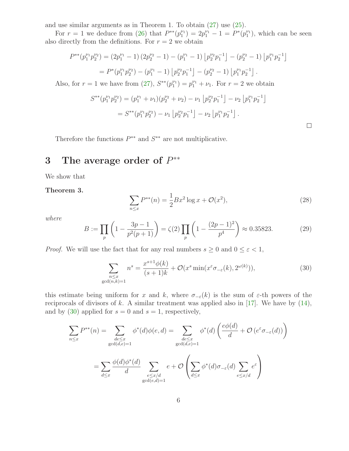and use similar arguments as in Theorem 1. To obtain [\(27\)](#page-4-0) use [\(25\)](#page-4-1).

For  $r = 1$  we deduce from [\(26\)](#page-4-2) that  $P^{**}(p_1^{\nu_1})$  $p_1^{\nu_1}$ ) = 2 $p_1^{\nu_1}$  - 1 =  $P^*(p_1^{\nu_1})$  $\binom{\nu_1}{1}$ , which can be seen also directly from the definitions. For  $r = 2$  we obtain

$$
P^{**}(p_1^{\nu_1}p_2^{\nu_2}) = (2p_1^{\nu_1} - 1)(2p_2^{\nu_2} - 1) - (p_1^{\nu_1} - 1)\left[p_2^{\nu_2}p_1^{-1}\right] - (p_2^{\nu_2} - 1)\left[p_1^{\nu_1}p_2^{-1}\right]
$$
  
=  $P^*(p_1^{\nu_1}p_2^{\nu_2}) - (p_1^{\nu_1} - 1)\left[p_2^{\nu_2}p_1^{-1}\right] - (p_2^{\nu_2} - 1)\left[p_1^{\nu_1}p_2^{-1}\right].$ 

Also, for  $r = 1$  we have from [\(27\)](#page-4-0),  $S^{**}(p_1^{\nu_1})$  $j_1^{\nu_1}$  =  $p_1^{\nu_1} + \nu_1$ . For  $r = 2$  we obtain

$$
S^{**}(p_1^{\nu_1}p_2^{\nu_2}) = (p_1^{\nu_1} + \nu_1)(p_2^{\nu_2} + \nu_2) - \nu_1 [p_2^{\nu_2}p_1^{-1}] - \nu_2 [p_1^{\nu_1}p_2^{-1}]
$$
  
=  $S^{**}(p_1^{\nu_1}p_2^{\nu_2}) - \nu_1 [p_2^{\nu_2}p_1^{-1}] - \nu_2 [p_1^{\nu_1}p_2^{-1}].$ 

Therefore the functions  $P^{**}$  and  $S^{**}$  are not multiplicative.

## 3 The average order of  $P^{**}$

We show that

Theorem 3.

<span id="page-5-0"></span>
$$
\sum_{n \le x} P^{**}(n) = \frac{1}{2} Bx^2 \log x + \mathcal{O}(x^2),\tag{28}
$$

where

$$
B := \prod_{p} \left( 1 - \frac{3p - 1}{p^2(p + 1)} \right) = \zeta(2) \prod_{p} \left( 1 - \frac{(2p - 1)^2}{p^4} \right) \approx 0.35823. \tag{29}
$$

*Proof.* We will use the fact that for any real numbers  $s \geq 0$  and  $0 \leq \varepsilon < 1$ ,

$$
\sum_{\substack{n \le x \\ \gcd(n,k)=1}} n^s = \frac{x^{s+1}\phi(k)}{(s+1)k} + \mathcal{O}(x^s \min(x^{\varepsilon} \sigma_{-\varepsilon}(k), 2^{\omega(k)})),\tag{30}
$$

this estimate being uniform for x and k, where  $\sigma_{-\varepsilon}(k)$  is the sum of  $\varepsilon$ -th powers of the reciprocals of divisors of k. A similar treatment was applied also in [\[17\]](#page-9-4). We have by  $(14)$ , and by [\(30\)](#page-5-0) applied for  $s = 0$  and  $s = 1$ , respectively,

$$
\sum_{n \leq x} P^{**}(n) = \sum_{\substack{de \leq x \\ \gcd(d,e)=1}} \phi^*(d)\phi(e,d) = \sum_{\substack{de \leq x \\ \gcd(d,e)=1}} \phi^*(d) \left(\frac{e\phi(d)}{d} + \mathcal{O}\left(e^{\varepsilon}\sigma_{-\varepsilon}(d)\right)\right)
$$

$$
= \sum_{d \leq x} \frac{\phi(d)\phi^*(d)}{d} \sum_{\substack{e \leq x/d \\ \gcd(e,d)=1}} e + \mathcal{O}\left(\sum_{d \leq x} \phi^*(d)\sigma_{-\varepsilon}(d) \sum_{e \leq x/d} e^{\varepsilon}\right)
$$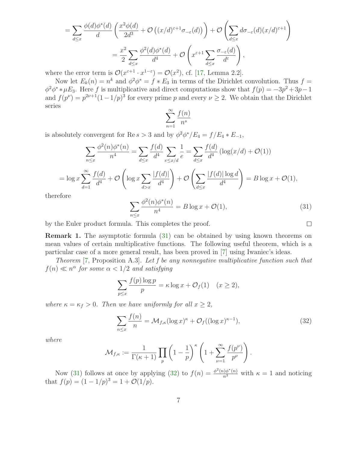$$
= \sum_{d \leq x} \frac{\phi(d)\phi^*(d)}{d} \left( \frac{x^2 \phi(d)}{2d^3} + \mathcal{O}\left( (x/d)^{\varepsilon+1} \sigma_{-\varepsilon}(d) \right) \right) + \mathcal{O}\left( \sum_{d \leq x} d\sigma_{-\varepsilon}(d) (x/d)^{\varepsilon+1} \right)
$$
  

$$
= \frac{x^2}{2} \sum_{d \leq x} \frac{\phi^2(d)\phi^*(d)}{d^4} + \mathcal{O}\left( x^{\varepsilon+1} \sum_{d \leq x} \frac{\sigma_{-\varepsilon}(d)}{d^{\varepsilon}} \right),
$$

where the error term is  $\mathcal{O}(x^{\varepsilon+1} \cdot x^{1-\varepsilon}) = \mathcal{O}(x^2)$ , cf. [\[17,](#page-9-4) Lemma 2.2].

Now let  $E_k(n) = n^k$  and  $\phi^2 \phi^* = f * E_3$  in terms of the Dirichlet convolution. Thus  $f =$  $\phi^2 \phi^* * \mu E_3$ . Here f is multiplicative and direct computations show that  $f(p) = -3p^2 + 3p - 1$ and  $f(p^{\nu}) = p^{2\nu+1}(1-1/p)^3$  for every prime p and every  $\nu \geq 2$ . We obtain that the Dirichlet series

$$
\sum_{n=1}^{\infty} \frac{f(n)}{n^s}
$$

is absolutely convergent for Re  $s > 3$  and by  $\phi^2 \phi^* / E_4 = f / E_4 * E_{-1}$ ,

$$
\sum_{n \le x} \frac{\phi^2(n)\phi^*(n)}{n^4} = \sum_{d \le x} \frac{f(d)}{d^4} \sum_{e \le x/d} \frac{1}{e} = \sum_{d \le x} \frac{f(d)}{d^4} \left( \log(x/d) + \mathcal{O}(1) \right)
$$

$$
= \log x \sum_{d=1}^{\infty} \frac{f(d)}{d^4} + \mathcal{O}\left(\log x \sum_{d > x} \frac{|f(d)|}{d^4}\right) + \mathcal{O}\left(\sum_{d \le x} \frac{|f(d)| \log d}{d^4}\right) = B \log x + \mathcal{O}(1),
$$

<span id="page-6-0"></span>therefore

$$
\sum_{n \le x} \frac{\phi^2(n)\phi^*(n)}{n^4} = B \log x + \mathcal{O}(1),\tag{31}
$$

<span id="page-6-2"></span>by the Euler product formula. This completes the proof.

Remark 1. The asymptotic formula [\(31\)](#page-6-0) can be obtained by using known theorems on mean values of certain multiplicative functions. The following useful theorem, which is a particular case of a more general result, has been proved in [\[7\]](#page-8-6) using Iwaniec's ideas.

Theorem [\[7,](#page-8-6) Proposition A.3]. Let f be any nonnegative multiplicative function such that  $f(n) \ll n^{\alpha}$  for some  $\alpha < 1/2$  and satisfying

<span id="page-6-1"></span>
$$
\sum_{p\leq x} \frac{f(p)\log p}{p} = \kappa \log x + \mathcal{O}_f(1) \quad (x \geq 2),
$$

where  $\kappa = \kappa_f > 0$ . Then we have uniformly for all  $x \geq 2$ ,

$$
\sum_{n \le x} \frac{f(n)}{n} = \mathcal{M}_{f,\kappa} (\log x)^{\kappa} + \mathcal{O}_f((\log x)^{\kappa - 1}),\tag{32}
$$

where

$$
\mathcal{M}_{f,\kappa} := \frac{1}{\Gamma(\kappa+1)} \prod_{p} \left(1 - \frac{1}{p}\right)^{\kappa} \left(1 + \sum_{\nu=1}^{\infty} \frac{f(p^{\nu})}{p^{\nu}}\right).
$$

Now [\(31\)](#page-6-0) follows at once by applying [\(32\)](#page-6-1) to  $f(n) = \frac{\phi^2(n)\phi^*(n)}{n^3}$  with  $\kappa = 1$  and noticing that  $f(p) = (1 - 1/p)^3 = 1 + \mathcal{O}(1/p).$ 

 $\Box$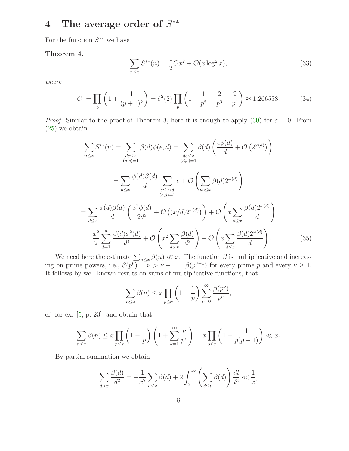## 4 The average order of  $S^{**}$

<span id="page-7-1"></span>For the function  $S^{**}$  we have

Theorem 4.

$$
\sum_{n \le x} S^{**}(n) = \frac{1}{2} C x^2 + \mathcal{O}(x \log^2 x),\tag{33}
$$

where

$$
C := \prod_{p} \left( 1 + \frac{1}{(p+1)^2} \right) = \zeta^2(2) \prod_{p} \left( 1 - \frac{1}{p^2} - \frac{2}{p^3} + \frac{2}{p^4} \right) \approx 1.266558. \tag{34}
$$

*Proof.* Similar to the proof of Theorem 3, here it is enough to apply [\(30\)](#page-5-0) for  $\varepsilon = 0$ . From [\(25\)](#page-4-1) we obtain

$$
\sum_{n\leq x} S^{**}(n) = \sum_{\substack{de\leq x \\ (d,e)=1}} \beta(d)\phi(e,d) = \sum_{\substack{de\leq x \\ (d,e)=1}} \beta(d) \left(\frac{e\phi(d)}{d} + \mathcal{O}\left(2^{\omega(d)}\right)\right)
$$

$$
= \sum_{\substack{d\leq x \\ d\leq x}} \frac{\phi(d)\beta(d)}{d} \sum_{\substack{e\leq x/d \\ (e,d)=1}} e + \mathcal{O}\left(\sum_{de\leq x} \beta(d)2^{\omega(d)}\right)
$$

$$
= \sum_{d\leq x} \frac{\phi(d)\beta(d)}{d} \left(\frac{x^2\phi(d)}{2d^3} + \mathcal{O}\left((x/d)2^{\omega(d)}\right)\right) + \mathcal{O}\left(x\sum_{d\leq x} \frac{\beta(d)2^{\omega(d)}}{d}\right)
$$

$$
= \frac{x^2}{2} \sum_{d=1}^{\infty} \frac{\beta(d)\phi^2(d)}{d^4} + \mathcal{O}\left(x^2\sum_{d>x} \frac{\beta(d)}{d^2}\right) + \mathcal{O}\left(x\sum_{d\leq x} \frac{\beta(d)2^{\omega(d)}}{d}\right).
$$
(35)

<span id="page-7-0"></span>We need here the estimate  $\sum_{n\leq x}\beta(n)\ll x$ . The function  $\beta$  is multiplicative and increasing on prime powers, i.e.,  $\beta(p^{\nu}) = \nu > \nu - 1 = \beta(p^{\nu-1})$  for every prime p and every  $\nu \geq 1$ . It follows by well known results on sums of multiplicative functions, that

$$
\sum_{n \le x} \beta(n) \le x \prod_{p \le x} \left(1 - \frac{1}{p}\right) \sum_{\nu=0}^{\infty} \frac{\beta(p^{\nu})}{p^{\nu}},
$$

cf. for ex. [\[5,](#page-8-7) p. 23], and obtain that

$$
\sum_{n\leq x}\beta(n)\leq x\prod_{p\leq x}\left(1-\frac{1}{p}\right)\left(1+\sum_{\nu=1}^{\infty}\frac{\nu}{p^{\nu}}\right)=x\prod_{p\leq x}\left(1+\frac{1}{p(p-1)}\right)\ll x.
$$

By partial summation we obtain

$$
\sum_{d>x} \frac{\beta(d)}{d^2} = -\frac{1}{x^2} \sum_{d \le x} \beta(d) + 2 \int_x^\infty \left( \sum_{d \le t} \beta(d) \right) \frac{dt}{t^3} \ll \frac{1}{x},
$$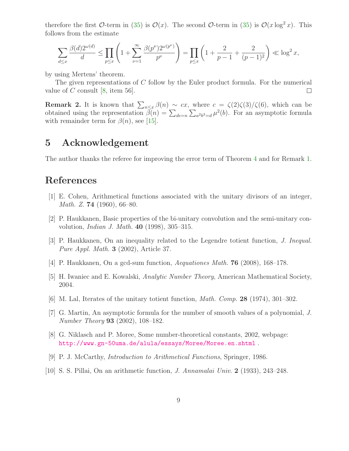therefore the first O-term in [\(35\)](#page-7-0) is  $\mathcal{O}(x)$ . The second O-term in (35) is  $\mathcal{O}(x \log^2 x)$ . This follows from the estimate

$$
\sum_{d \le x} \frac{\beta(d) 2^{\omega(d)}}{d} \le \prod_{p \le x} \left( 1 + \sum_{\nu=1}^{\infty} \frac{\beta(p^{\nu}) 2^{\omega(p^{\nu})}}{p^{\nu}} \right) = \prod_{p \le x} \left( 1 + \frac{2}{p-1} + \frac{2}{(p-1)^2} \right) \ll \log^2 x,
$$

by using Mertens' theorem.

The given representations of C follow by the Euler product formula. For the numerical value of C consult [\[8,](#page-8-8) item 56].  $\Box$ 

**Remark 2.** It is known that  $\sum_{n\leq x}\beta(n) \sim cx$ , where  $c = \zeta(2)\zeta(3)/\zeta(6)$ , which can be obtained using the representation  $\bar{\beta}(n) = \sum_{de=n} \sum_{a^2b^3=d} \mu^2(b)$ . For an asymptotic formula with remainder term for  $\beta(n)$ , see [\[15\]](#page-9-9).

## 5 Acknowledgement

The author thanks the referee for improving the error term of Theorem [4](#page-7-1) and for Remark [1.](#page-6-2)

### <span id="page-8-0"></span>References

- <span id="page-8-3"></span>[1] E. Cohen, Arithmetical functions associated with the unitary divisors of an integer, Math. Z. 74 (1960), 66–80.
- <span id="page-8-5"></span>[2] P. Haukkanen, Basic properties of the bi-unitary convolution and the semi-unitary convolution, Indian J. Math. 40 (1998), 305–315.
- [3] P. Haukkanen, On an inequality related to the Legendre totient function, J. Inequal. Pure Appl. Math. 3 (2002), Article 37.
- <span id="page-8-7"></span><span id="page-8-4"></span>[4] P. Haukkanen, On a gcd-sum function, Aequationes Math. 76 (2008), 168–178.
- <span id="page-8-1"></span>[5] H. Iwaniec and E. Kowalski, Analytic Number Theory, American Mathematical Society, 2004.
- <span id="page-8-6"></span>[6] M. Lal, Iterates of the unitary totient function, Math. Comp. 28 (1974), 301–302.
- [7] G. Martin, An asymptotic formula for the number of smooth values of a polynomial, J. Number Theory 93 (2002), 108–182.
- <span id="page-8-8"></span>[8] G. Niklasch and P. Moree, Some number-theoretical constants, 2002, webpage: <http://www.gn-50uma.de/alula/essays/Moree/Moree.en.shtml> .
- <span id="page-8-2"></span>[9] P. J. McCarthy, Introduction to Arithmetical Functions, Springer, 1986.
- [10] S. S. Pillai, On an arithmetic function, J. Annamalai Univ. 2 (1933), 243–248.